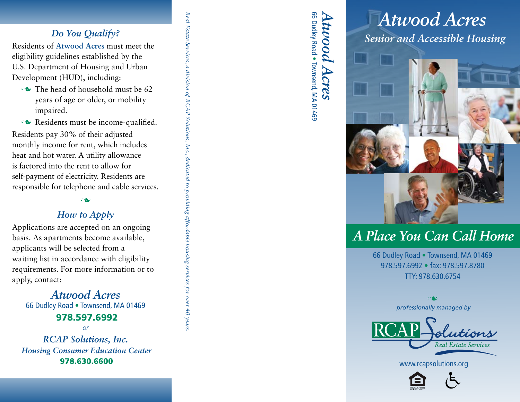# *Do You Qualify?*

Residents of **Atwood Acres** must meet the eligibility guidelines established by the U.S. Department of Housing and Urban Development (HUD), including:

- $\sim$  The head of household must be 62 years of age or older, or mobility impaired.
- $\sim$  Residents must be income-qualified.

Residents pay 30% of their adjusted monthly income for rent, which includes heat and hot water. A utility allowance is factored into the rent to allow for self-payment of electricity. Residents are responsible for telephone and cable services. *Real Estate Services, a division of RCAP Solutions, Inc., dedicated to providing affordable housing services for over 40 years.*

a division of RCAP Solutions, Inc., dedicated to providing affordable housing services for over 40 years

Real Estate Services,

### n

### *How to Apply*

Applications are accepted on an ongoing basis. As apartments become available, applicants will be selected from a waiting list in accordance with eligibility requirements. For more information or to apply, contact:

*Atwood Acres* 66 Dudley Road • Townsend, MA 01469

### 978.597.6992

*or*

*RCAP Solutions, Inc. Housing Consumer Education Center* 978.630.6600

*Atwood Acres* 66 Dudley Road . Townsend, MA 01469 66 Dudley Road twood Townsend, MA 01469 Acres

# *Senior and Accessible Housing Atwood Acres*



# *A Place You Can Call Home*

66 Dudley Road • Townsend, MA 01469 978.597.6992 • fax: 978.597.8780 TTY: 978.630.6754

*professionally managed by* n



www.rcapsolutions.org